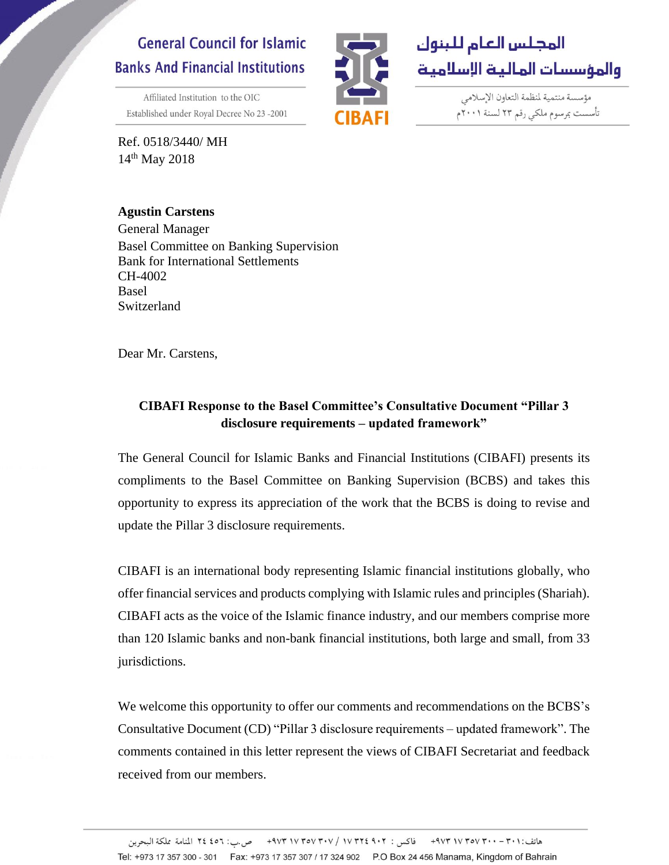## **General Council for Islamic Banks And Financial Institutions**

Affiliated Institution to the OIC Established under Royal Decree No 23-2001

Ref. 0518/3440/ MH 14<sup>th</sup> May 2018



مؤسسة منتمية لنظمة التعاون الإسلامي تأسست بمرسوم ملكى رقم ٢٣ لسنة ٢٠٠١م

**Agustin Carstens** General Manager Basel Committee on Banking Supervision Bank for International Settlements CH-4002 Basel Switzerland

Dear Mr. Carstens,

## **CIBAFI Response to the Basel Committee's Consultative Document "Pillar 3 disclosure requirements – updated framework"**

The General Council for Islamic Banks and Financial Institutions (CIBAFI) presents its compliments to the Basel Committee on Banking Supervision (BCBS) and takes this opportunity to express its appreciation of the work that the BCBS is doing to revise and update the Pillar 3 disclosure requirements.

CIBAFI is an international body representing Islamic financial institutions globally, who offer financial services and products complying with Islamic rules and principles (Shariah). CIBAFI acts as the voice of the Islamic finance industry, and our members comprise more than 120 Islamic banks and non-bank financial institutions, both large and small, from 33 jurisdictions.

We welcome this opportunity to offer our comments and recommendations on the BCBS's Consultative Document (CD) "Pillar 3 disclosure requirements – updated framework". The comments contained in this letter represent the views of CIBAFI Secretariat and feedback received from our members.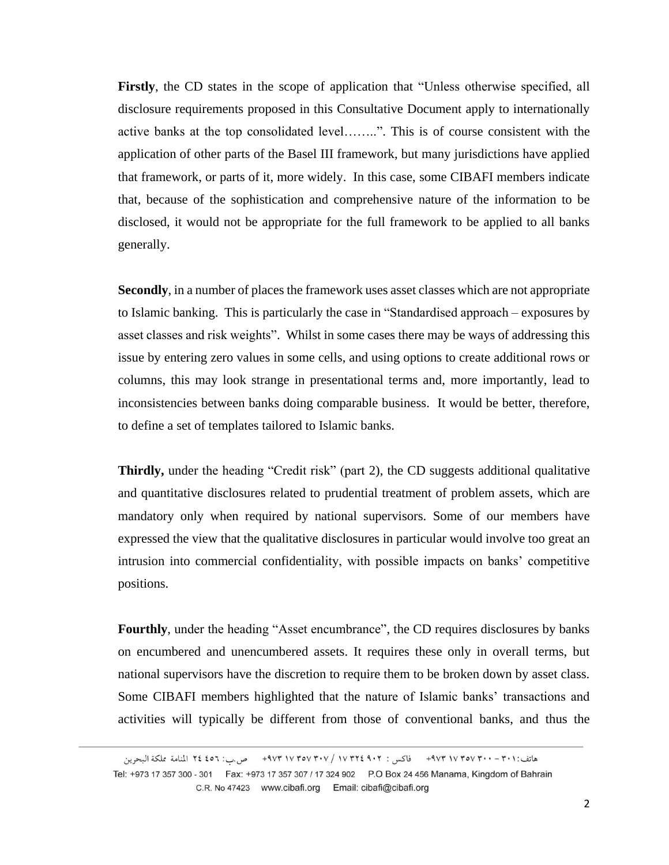**Firstly**, the CD states in the scope of application that "Unless otherwise specified, all disclosure requirements proposed in this Consultative Document apply to internationally active banks at the top consolidated level……..". This is of course consistent with the application of other parts of the Basel III framework, but many jurisdictions have applied that framework, or parts of it, more widely. In this case, some CIBAFI members indicate that, because of the sophistication and comprehensive nature of the information to be disclosed, it would not be appropriate for the full framework to be applied to all banks generally.

**Secondly**, in a number of places the framework uses asset classes which are not appropriate to Islamic banking. This is particularly the case in "Standardised approach – exposures by asset classes and risk weights". Whilst in some cases there may be ways of addressing this issue by entering zero values in some cells, and using options to create additional rows or columns, this may look strange in presentational terms and, more importantly, lead to inconsistencies between banks doing comparable business. It would be better, therefore, to define a set of templates tailored to Islamic banks.

**Thirdly,** under the heading "Credit risk" (part 2), the CD suggests additional qualitative and quantitative disclosures related to prudential treatment of problem assets, which are mandatory only when required by national supervisors. Some of our members have expressed the view that the qualitative disclosures in particular would involve too great an intrusion into commercial confidentiality, with possible impacts on banks' competitive positions.

**Fourthly**, under the heading "Asset encumbrance", the CD requires disclosures by banks on encumbered and unencumbered assets. It requires these only in overall terms, but national supervisors have the discretion to require them to be broken down by asset class. Some CIBAFI members highlighted that the nature of Islamic banks' transactions and activities will typically be different from those of conventional banks, and thus the